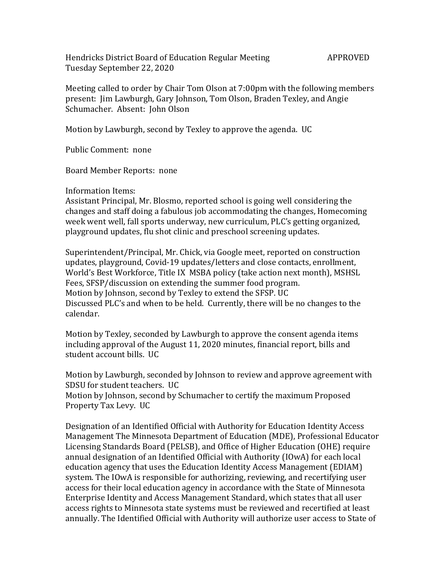Hendricks District Board of Education Regular Meeting APPROVED Tuesday September 22, 2020

Meeting called to order by Chair Tom Olson at 7:00pm with the following members present: Jim Lawburgh, Gary Johnson, Tom Olson, Braden Texley, and Angie Schumacher. Absent: John Olson

Motion by Lawburgh, second by Texley to approve the agenda. UC

Public Comment: none

Board Member Reports: none

Information Items:

Assistant Principal, Mr. Blosmo, reported school is going well considering the changes and staff doing a fabulous job accommodating the changes, Homecoming week went well, fall sports underway, new curriculum, PLC's getting organized, playground updates, flu shot clinic and preschool screening updates.

Superintendent/Principal, Mr. Chick, via Google meet, reported on construction updates, playground, Covid-19 updates/letters and close contacts, enrollment, World's Best Workforce, Title IX MSBA policy (take action next month), MSHSL Fees, SFSP/discussion on extending the summer food program. Motion by Johnson, second by Texley to extend the SFSP. UC Discussed PLC's and when to be held. Currently, there will be no changes to the calendar.

Motion by Texley, seconded by Lawburgh to approve the consent agenda items including approval of the August 11, 2020 minutes, financial report, bills and student account bills. UC

Motion by Lawburgh, seconded by Johnson to review and approve agreement with SDSU for student teachers. UC

Motion by Johnson, second by Schumacher to certify the maximum Proposed Property Tax Levy. UC

Designation of an Identified Official with Authority for Education Identity Access Management The Minnesota Department of Education (MDE), Professional Educator Licensing Standards Board (PELSB), and Office of Higher Education (OHE) require annual designation of an Identified Official with Authority (IOwA) for each local education agency that uses the Education Identity Access Management (EDIAM) system. The IOwA is responsible for authorizing, reviewing, and recertifying user access for their local education agency in accordance with the State of Minnesota Enterprise Identity and Access Management Standard, which states that all user access rights to Minnesota state systems must be reviewed and recertified at least annually. The Identified Official with Authority will authorize user access to State of